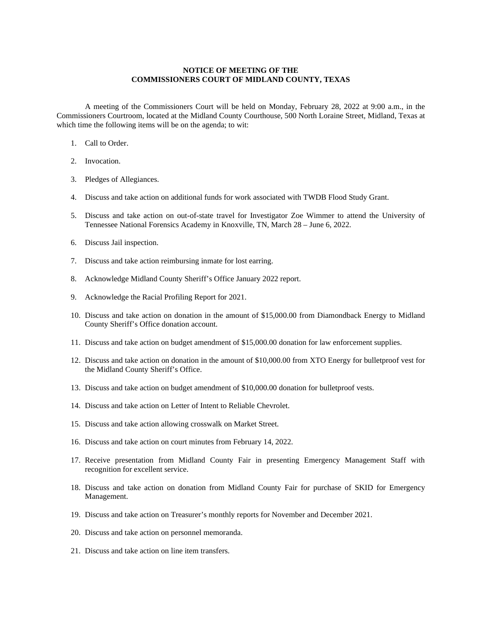## **NOTICE OF MEETING OF THE COMMISSIONERS COURT OF MIDLAND COUNTY, TEXAS**

A meeting of the Commissioners Court will be held on Monday, February 28, 2022 at 9:00 a.m., in the Commissioners Courtroom, located at the Midland County Courthouse, 500 North Loraine Street, Midland, Texas at which time the following items will be on the agenda; to wit:

- 1. Call to Order.
- 2. Invocation.
- 3. Pledges of Allegiances.
- 4. Discuss and take action on additional funds for work associated with TWDB Flood Study Grant.
- 5. Discuss and take action on out-of-state travel for Investigator Zoe Wimmer to attend the University of Tennessee National Forensics Academy in Knoxville, TN, March 28 – June 6, 2022.
- 6. Discuss Jail inspection.
- 7. Discuss and take action reimbursing inmate for lost earring.
- 8. Acknowledge Midland County Sheriff's Office January 2022 report.
- 9. Acknowledge the Racial Profiling Report for 2021.
- 10. Discuss and take action on donation in the amount of \$15,000.00 from Diamondback Energy to Midland County Sheriff's Office donation account.
- 11. Discuss and take action on budget amendment of \$15,000.00 donation for law enforcement supplies.
- 12. Discuss and take action on donation in the amount of \$10,000.00 from XTO Energy for bulletproof vest for the Midland County Sheriff's Office.
- 13. Discuss and take action on budget amendment of \$10,000.00 donation for bulletproof vests.
- 14. Discuss and take action on Letter of Intent to Reliable Chevrolet.
- 15. Discuss and take action allowing crosswalk on Market Street.
- 16. Discuss and take action on court minutes from February 14, 2022.
- 17. Receive presentation from Midland County Fair in presenting Emergency Management Staff with recognition for excellent service.
- 18. Discuss and take action on donation from Midland County Fair for purchase of SKID for Emergency Management.
- 19. Discuss and take action on Treasurer's monthly reports for November and December 2021.
- 20. Discuss and take action on personnel memoranda.
- 21. Discuss and take action on line item transfers.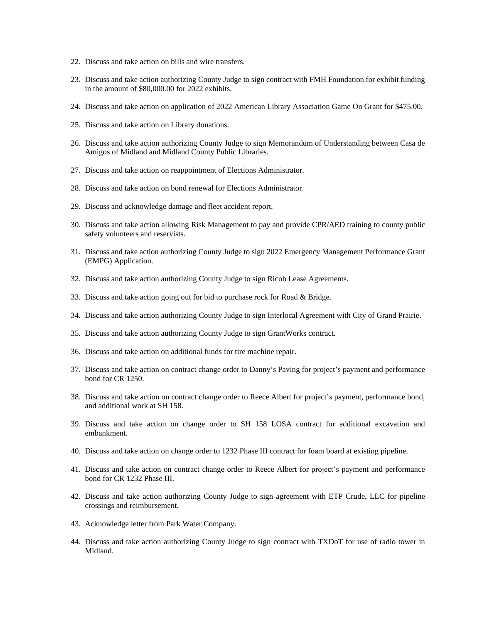- 22. Discuss and take action on bills and wire transfers.
- 23. Discuss and take action authorizing County Judge to sign contract with FMH Foundation for exhibit funding in the amount of \$80,000.00 for 2022 exhibits.
- 24. Discuss and take action on application of 2022 American Library Association Game On Grant for \$475.00.
- 25. Discuss and take action on Library donations.
- 26. Discuss and take action authorizing County Judge to sign Memorandum of Understanding between Casa de Amigos of Midland and Midland County Public Libraries.
- 27. Discuss and take action on reappointment of Elections Administrator.
- 28. Discuss and take action on bond renewal for Elections Administrator.
- 29. Discuss and acknowledge damage and fleet accident report.
- 30. Discuss and take action allowing Risk Management to pay and provide CPR/AED training to county public safety volunteers and reservists.
- 31. Discuss and take action authorizing County Judge to sign 2022 Emergency Management Performance Grant (EMPG) Application.
- 32. Discuss and take action authorizing County Judge to sign Ricoh Lease Agreements.
- 33. Discuss and take action going out for bid to purchase rock for Road & Bridge.
- 34. Discuss and take action authorizing County Judge to sign Interlocal Agreement with City of Grand Prairie.
- 35. Discuss and take action authorizing County Judge to sign GrantWorks contract.
- 36. Discuss and take action on additional funds for tire machine repair.
- 37. Discuss and take action on contract change order to Danny's Paving for project's payment and performance bond for CR 1250.
- 38. Discuss and take action on contract change order to Reece Albert for project's payment, performance bond, and additional work at SH 158.
- 39. Discuss and take action on change order to SH 158 LOSA contract for additional excavation and embankment.
- 40. Discuss and take action on change order to 1232 Phase III contract for foam board at existing pipeline.
- 41. Discuss and take action on contract change order to Reece Albert for project's payment and performance bond for CR 1232 Phase III.
- 42. Discuss and take action authorizing County Judge to sign agreement with ETP Crude, LLC for pipeline crossings and reimbursement.
- 43. Acknowledge letter from Park Water Company.
- 44. Discuss and take action authorizing County Judge to sign contract with TXDoT for use of radio tower in Midland.